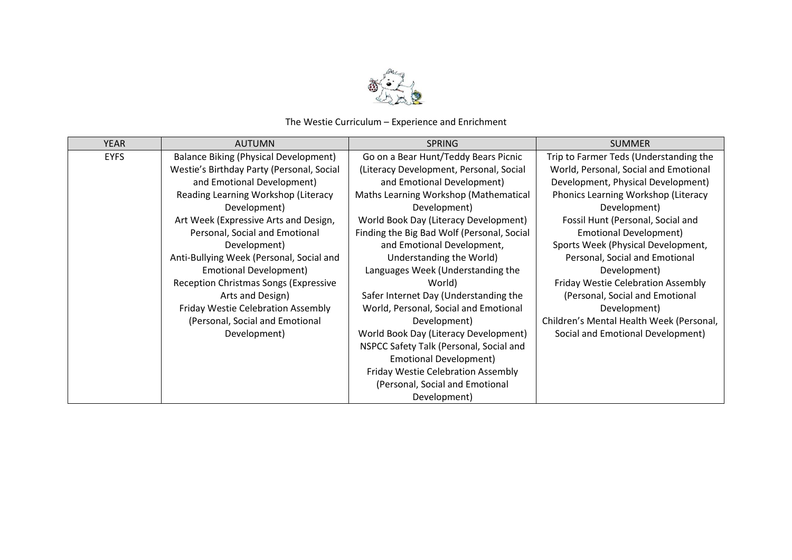

## The Westie Curriculum – Experience and Enrichment

| <b>YEAR</b> | <b>AUTUMN</b>                                | <b>SPRING</b>                              | <b>SUMMER</b>                            |
|-------------|----------------------------------------------|--------------------------------------------|------------------------------------------|
| <b>EYFS</b> | <b>Balance Biking (Physical Development)</b> | Go on a Bear Hunt/Teddy Bears Picnic       | Trip to Farmer Teds (Understanding the   |
|             | Westie's Birthday Party (Personal, Social    | (Literacy Development, Personal, Social    | World, Personal, Social and Emotional    |
|             | and Emotional Development)                   | and Emotional Development)                 | Development, Physical Development)       |
|             | Reading Learning Workshop (Literacy          | Maths Learning Workshop (Mathematical      | Phonics Learning Workshop (Literacy      |
|             | Development)                                 | Development)                               | Development)                             |
|             | Art Week (Expressive Arts and Design,        | World Book Day (Literacy Development)      | Fossil Hunt (Personal, Social and        |
|             | Personal, Social and Emotional               | Finding the Big Bad Wolf (Personal, Social | <b>Emotional Development)</b>            |
|             | Development)                                 | and Emotional Development,                 | Sports Week (Physical Development,       |
|             | Anti-Bullying Week (Personal, Social and     | Understanding the World)                   | Personal, Social and Emotional           |
|             | Emotional Development)                       | Languages Week (Understanding the          | Development)                             |
|             | <b>Reception Christmas Songs (Expressive</b> | World)                                     | Friday Westie Celebration Assembly       |
|             | Arts and Design)                             | Safer Internet Day (Understanding the      | (Personal, Social and Emotional          |
|             | Friday Westie Celebration Assembly           | World, Personal, Social and Emotional      | Development)                             |
|             | (Personal, Social and Emotional              | Development)                               | Children's Mental Health Week (Personal, |
|             | Development)                                 | World Book Day (Literacy Development)      | Social and Emotional Development)        |
|             |                                              | NSPCC Safety Talk (Personal, Social and    |                                          |
|             |                                              | <b>Emotional Development)</b>              |                                          |
|             |                                              | Friday Westie Celebration Assembly         |                                          |
|             |                                              | (Personal, Social and Emotional            |                                          |
|             |                                              | Development)                               |                                          |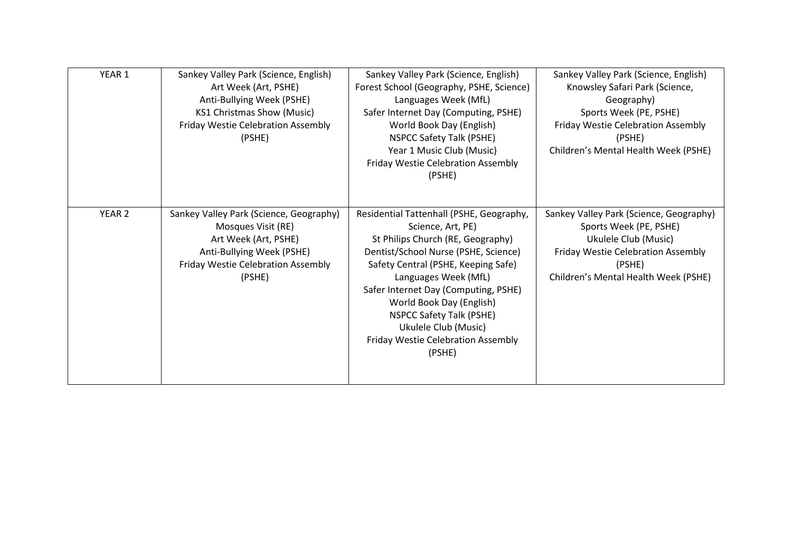| YEAR 1            |                                         |                                          |                                           |
|-------------------|-----------------------------------------|------------------------------------------|-------------------------------------------|
|                   | Sankey Valley Park (Science, English)   | Sankey Valley Park (Science, English)    | Sankey Valley Park (Science, English)     |
|                   | Art Week (Art, PSHE)                    | Forest School (Geography, PSHE, Science) | Knowsley Safari Park (Science,            |
|                   | Anti-Bullying Week (PSHE)               | Languages Week (MfL)                     | Geography)                                |
|                   | KS1 Christmas Show (Music)              | Safer Internet Day (Computing, PSHE)     | Sports Week (PE, PSHE)                    |
|                   | Friday Westie Celebration Assembly      | World Book Day (English)                 | Friday Westie Celebration Assembly        |
|                   | (PSHE)                                  | <b>NSPCC Safety Talk (PSHE)</b>          | (PSHE)                                    |
|                   |                                         | Year 1 Music Club (Music)                | Children's Mental Health Week (PSHE)      |
|                   |                                         | Friday Westie Celebration Assembly       |                                           |
|                   |                                         | (PSHE)                                   |                                           |
|                   |                                         |                                          |                                           |
|                   |                                         |                                          |                                           |
| YEAR <sub>2</sub> | Sankey Valley Park (Science, Geography) | Residential Tattenhall (PSHE, Geography, | Sankey Valley Park (Science, Geography)   |
|                   | Mosques Visit (RE)                      | Science, Art, PE)                        | Sports Week (PE, PSHE)                    |
|                   | Art Week (Art, PSHE)                    | St Philips Church (RE, Geography)        | Ukulele Club (Music)                      |
|                   | Anti-Bullying Week (PSHE)               | Dentist/School Nurse (PSHE, Science)     | <b>Friday Westie Celebration Assembly</b> |
|                   | Friday Westie Celebration Assembly      | Safety Central (PSHE, Keeping Safe)      | (PSHE)                                    |
|                   | (PSHE)                                  | Languages Week (MfL)                     | Children's Mental Health Week (PSHE)      |
|                   |                                         | Safer Internet Day (Computing, PSHE)     |                                           |
|                   |                                         | World Book Day (English)                 |                                           |
|                   |                                         |                                          |                                           |
|                   |                                         | <b>NSPCC Safety Talk (PSHE)</b>          |                                           |
|                   |                                         | Ukulele Club (Music)                     |                                           |
|                   |                                         | Friday Westie Celebration Assembly       |                                           |
|                   |                                         | (PSHE)                                   |                                           |
|                   |                                         |                                          |                                           |
|                   |                                         |                                          |                                           |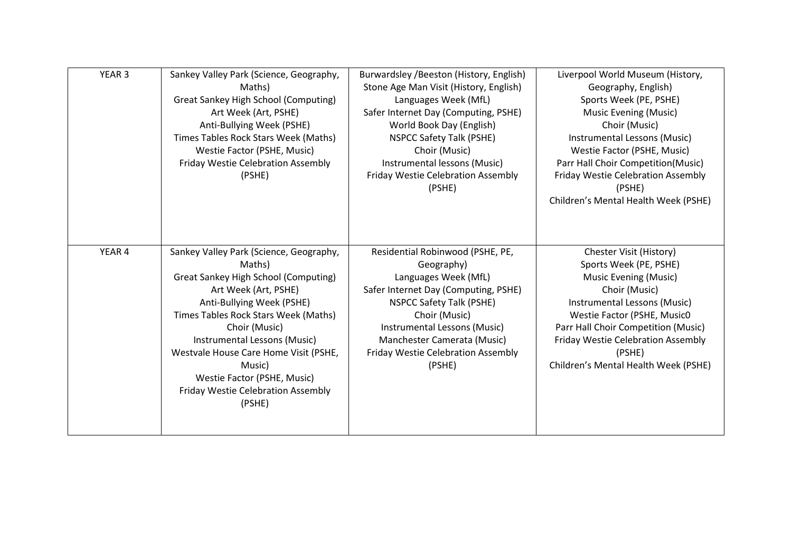| YEAR <sub>3</sub> | Sankey Valley Park (Science, Geography,     | Burwardsley / Beeston (History, English) | Liverpool World Museum (History,     |
|-------------------|---------------------------------------------|------------------------------------------|--------------------------------------|
|                   | Maths)                                      | Stone Age Man Visit (History, English)   | Geography, English)                  |
|                   | <b>Great Sankey High School (Computing)</b> | Languages Week (MfL)                     | Sports Week (PE, PSHE)               |
|                   | Art Week (Art, PSHE)                        | Safer Internet Day (Computing, PSHE)     | Music Evening (Music)                |
|                   | Anti-Bullying Week (PSHE)                   | World Book Day (English)                 | Choir (Music)                        |
|                   | Times Tables Rock Stars Week (Maths)        | <b>NSPCC Safety Talk (PSHE)</b>          | Instrumental Lessons (Music)         |
|                   | Westie Factor (PSHE, Music)                 | Choir (Music)                            | Westie Factor (PSHE, Music)          |
|                   | Friday Westie Celebration Assembly          | Instrumental lessons (Music)             | Parr Hall Choir Competition(Music)   |
|                   | (PSHE)                                      | Friday Westie Celebration Assembly       | Friday Westie Celebration Assembly   |
|                   |                                             | (PSHE)                                   | (PSHE)                               |
|                   |                                             |                                          | Children's Mental Health Week (PSHE) |
|                   |                                             |                                          |                                      |
|                   |                                             |                                          |                                      |
|                   |                                             |                                          |                                      |
| YEAR 4            | Sankey Valley Park (Science, Geography,     | Residential Robinwood (PSHE, PE,         | Chester Visit (History)              |
|                   | Maths)                                      | Geography)                               | Sports Week (PE, PSHE)               |
|                   | <b>Great Sankey High School (Computing)</b> | Languages Week (MfL)                     | <b>Music Evening (Music)</b>         |
|                   | Art Week (Art, PSHE)                        | Safer Internet Day (Computing, PSHE)     | Choir (Music)                        |
|                   | Anti-Bullying Week (PSHE)                   | <b>NSPCC Safety Talk (PSHE)</b>          | Instrumental Lessons (Music)         |
|                   | Times Tables Rock Stars Week (Maths)        | Choir (Music)                            | Westie Factor (PSHE, Music0          |
|                   | Choir (Music)                               | Instrumental Lessons (Music)             | Parr Hall Choir Competition (Music)  |
|                   | Instrumental Lessons (Music)                | Manchester Camerata (Music)              | Friday Westie Celebration Assembly   |
|                   | Westvale House Care Home Visit (PSHE,       | Friday Westie Celebration Assembly       | (PSHE)                               |
|                   | Music)                                      | (PSHE)                                   | Children's Mental Health Week (PSHE) |
|                   | Westie Factor (PSHE, Music)                 |                                          |                                      |
|                   | Friday Westie Celebration Assembly          |                                          |                                      |
|                   | (PSHE)                                      |                                          |                                      |
|                   |                                             |                                          |                                      |
|                   |                                             |                                          |                                      |
|                   |                                             |                                          |                                      |